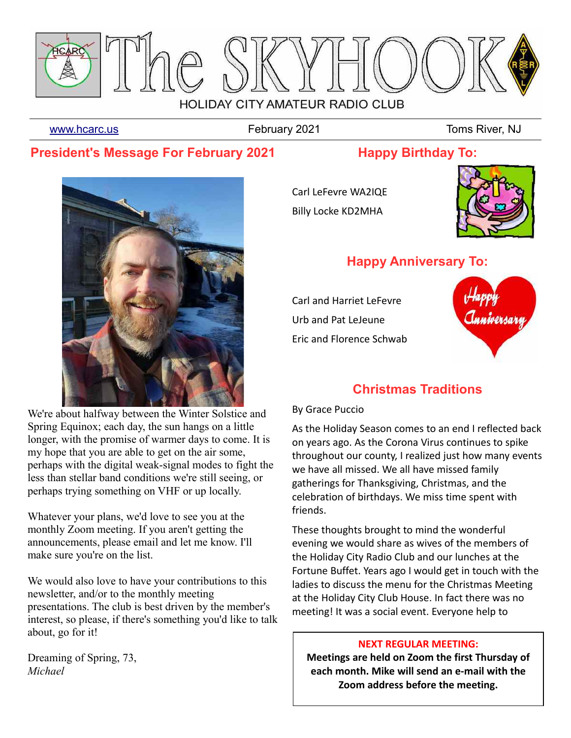

[www.hcarc.us](http://www.hcarc.us/) **February 2021** Toms River, NJ

# **President's Message For February 2021**

**Happy Birthday To:**



We're about halfway between the Winter Solstice and Spring Equinox; each day, the sun hangs on a little longer, with the promise of warmer days to come. It is my hope that you are able to get on the air some, perhaps with the digital weak-signal modes to fight the less than stellar band conditions we're still seeing, or perhaps trying something on VHF or up locally.

Whatever your plans, we'd love to see you at the monthly Zoom meeting. If you aren't getting the announcements, please email and let me know. I'll make sure you're on the list.

We would also love to have your contributions to this newsletter, and/or to the monthly meeting presentations. The club is best driven by the member's interest, so please, if there's something you'd like to talk about, go for it!

Dreaming of Spring, 73, *Michael* 

Carl LeFevre WA2IQE Billy Locke KD2MHA



# **Happy Anniversary To:**

Carl and Harriet LeFevre Urb and Pat LeJeune Eric and Florence Schwab



# **Christmas Traditions**

### By Grace Puccio

As the Holiday Season comes to an end I reflected back on years ago. As the Corona Virus continues to spike throughout our county, I realized just how many events we have all missed. We all have missed family gatherings for Thanksgiving, Christmas, and the celebration of birthdays. We miss time spent with friends.

These thoughts brought to mind the wonderful evening we would share as wives of the members of the Holiday City Radio Club and our lunches at the Fortune Buffet. Years ago I would get in touch with the ladies to discuss the menu for the Christmas Meeting at the Holiday City Club House. In fact there was no meeting! It was a social event. Everyone help to

### **NEXT REGULAR MEETING:**

**Meetings are held on Zoom the first Thursday of each month. Mike will send an e-mail with the Zoom address before the meeting.**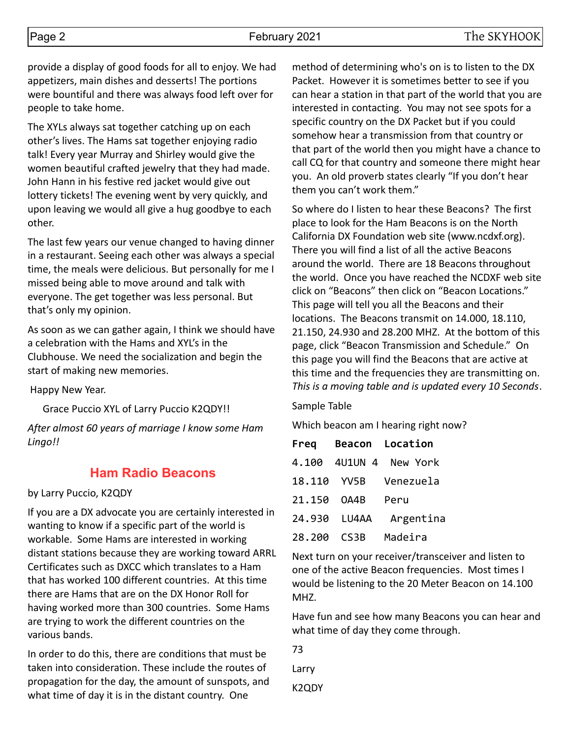provide a display of good foods for all to enjoy. We had appetizers, main dishes and desserts! The portions were bountiful and there was always food left over for people to take home.

The XYLs always sat together catching up on each other's lives. The Hams sat together enjoying radio talk! Every year Murray and Shirley would give the women beautiful crafted jewelry that they had made. John Hann in his festive red jacket would give out lottery tickets! The evening went by very quickly, and upon leaving we would all give a hug goodbye to each other.

The last few years our venue changed to having dinner in a restaurant. Seeing each other was always a special time, the meals were delicious. But personally for me I missed being able to move around and talk with everyone. The get together was less personal. But that's only my opinion.

As soon as we can gather again, I think we should have a celebration with the Hams and XYL's in the Clubhouse. We need the socialization and begin the start of making new memories.

Happy New Year.

Grace Puccio XYL of Larry Puccio K2QDY!!

*After almost 60 years of marriage I know some Ham Lingo!!*

## **Ham Radio Beacons**

#### by Larry Puccio, K2QDY

If you are a DX advocate you are certainly interested in wanting to know if a specific part of the world is workable. Some Hams are interested in working distant stations because they are working toward ARRL Certificates such as DXCC which translates to a Ham that has worked 100 different countries. At this time there are Hams that are on the DX Honor Roll for having worked more than 300 countries. Some Hams are trying to work the different countries on the various bands.

In order to do this, there are conditions that must be taken into consideration. These include the routes of propagation for the day, the amount of sunspots, and what time of day it is in the distant country. One

method of determining who's on is to listen to the DX Packet. However it is sometimes better to see if you can hear a station in that part of the world that you are interested in contacting. You may not see spots for a specific country on the DX Packet but if you could somehow hear a transmission from that country or that part of the world then you might have a chance to call CQ for that country and someone there might hear you. An old proverb states clearly "If you don't hear them you can't work them."

So where do I listen to hear these Beacons? The first place to look for the Ham Beacons is on the North California DX Foundation web site (www.ncdxf.org). There you will find a list of all the active Beacons around the world. There are 18 Beacons throughout the world. Once you have reached the NCDXF web site click on "Beacons" then click on "Beacon Locations." This page will tell you all the Beacons and their locations. The Beacons transmit on 14.000, 18.110, 21.150, 24.930 and 28.200 MHZ. At the bottom of this page, click "Beacon Transmission and Schedule." On this page you will find the Beacons that are active at this time and the frequencies they are transmitting on. *This is a moving table and is updated every 10 Seconds*.

#### Sample Table

Which beacon am I hearing right now?

| Freq   |               | Beacon Location |  |  |  |
|--------|---------------|-----------------|--|--|--|
|        | 4.100 4U1UN 4 | New York        |  |  |  |
| 18.110 | YV5B          | Venezuela       |  |  |  |
| 21.150 | OA4B          | Peru            |  |  |  |
|        | 24.930 LU4AA  | Argentina       |  |  |  |
| 28.200 | CS3B          | Madeira         |  |  |  |

Next turn on your receiver/transceiver and listen to one of the active Beacon frequencies. Most times I would be listening to the 20 Meter Beacon on 14.100 MHZ.

Have fun and see how many Beacons you can hear and what time of day they come through.

| 73    |  |
|-------|--|
| Larry |  |
| K2QDY |  |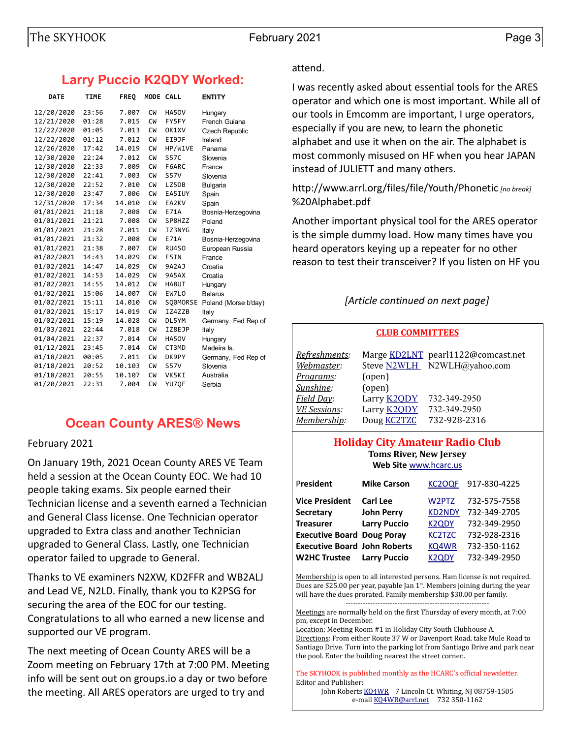# **Larry Puccio K2QDY Worked:**

| <b>DATE</b> | <b>TIME</b> | <b>FREQ</b> | MODE CALL |             | <b>ENTITY</b>         |
|-------------|-------------|-------------|-----------|-------------|-----------------------|
| 12/20/2020  | 23:56       | 7.007       | <b>CW</b> | HA50V       | Hungary               |
| 12/21/2020  | 01:28       | 7.015       | <b>CW</b> | FY5FY       | French Guiana         |
| 12/22/2020  | 01:05       | 7.013       | <b>CW</b> | OK1XV       | <b>Czech Republic</b> |
| 12/22/2020  | 01:12       | 7.012       | <b>CW</b> | EI9JF       | Ireland               |
| 12/26/2020  | 17:42       | 14.019      | <b>CW</b> | HP/W1VE     | Panama                |
| 12/30/2020  | 22:24       | 7.012       | <b>CW</b> | <b>S57C</b> | Slovenia              |
| 12/30/2020  | 22:33       | 7.009       | <b>CW</b> | F6ARC       | France                |
| 12/30/2020  | 22:41       | 7.003       | <b>CW</b> | <b>S57V</b> | Slovenia              |
| 12/30/2020  | 22:52       | 7.010       | <b>CW</b> | LZ5DB       | Bulgaria              |
| 12/30/2020  | 23:47       | 7.006       | <b>CW</b> | EA5IUY      | Spain                 |
| 12/31/2020  | 17:34       | 14.010      | <b>CW</b> | EA2KV       | Spain                 |
| 01/01/2021  | 21:18       | 7.008       | <b>CW</b> | E71A        | Bosnia-Herzegovina    |
| 01/01/2021  | 21:21       | 7.008       | <b>CW</b> | SP8HZZ      | Poland                |
| 01/01/2021  | 21:28       | 7.011       | <b>CW</b> | IZ3NYG      | Italy                 |
| 01/01/2021  | 21:32       | 7.008       | <b>CW</b> | E71A        | Bosnia-Herzegovina    |
| 01/01/2021  | 21:38       | 7.007       | <b>CW</b> | RU4SO       | European Russia       |
| 01/02/2021  | 14:43       | 14.029      | <b>CW</b> | F5IN        | France                |
| 01/02/2021  | 14:47       | 14.029      | <b>CW</b> | 9A2AJ       | Croatia               |
| 01/02/2021  | 14:53       | 14.029      | <b>CW</b> | 9A5AX       | Croatia               |
| 01/02/2021  | 14:55       | 14.012      | <b>CW</b> | HA8UT       | Hungary               |
| 01/02/2021  | 15:06       | 14.007      | <b>CW</b> | EW7LO       | <b>Belarus</b>        |
| 01/02/2021  | 15:11       | 14.010      | <b>CW</b> | SO0MORSE    | Poland (Morse b'day)  |
| 01/02/2021  | 15:17       | 14.019      | <b>CW</b> | IZ4ZZB      | Italy                 |
| 01/02/2021  | 15:19       | 14.028      | <b>CW</b> | DL5YM       | Germany, Fed Rep of   |
| 01/03/2021  | 22:44       | 7.018       | <b>CW</b> | IZ8EJP      | Italy                 |
| 01/04/2021  | 22:37       | 7.014       | <b>CW</b> | HA50V       | Hungary               |
| 01/12/2021  | 23:45       | 7.014       | <b>CW</b> | CT3MD       | Madeira Is.           |
| 01/18/2021  | 00:05       | 7.011       | <b>CW</b> | DK9PY       | Germany, Fed Rep of   |
| 01/18/2021  | 20:52       | 10.103      | <b>CW</b> | <b>S57V</b> | Slovenia              |
| 01/18/2021  | 20:55       | 10.107      | <b>CW</b> | VK5KI       | Australia             |
| 01/20/2021  | 22:31       | 7.004       | <b>CW</b> | YU7QF       | Serbia                |

# **Ocean County ARES® News**

February 2021

On January 19th, 2021 Ocean County ARES VE Team held a session at the Ocean County EOC. We had 10 people taking exams. Six people earned their Technician license and a seventh earned a Technician and General Class license. One Technician operator upgraded to Extra class and another Technician upgraded to General Class. Lastly, one Technician operator failed to upgrade to General.

Thanks to VE examiners N2XW, KD2FFR and WB2ALJ and Lead VE, N2LD. Finally, thank you to K2PSG for securing the area of the EOC for our testing. Congratulations to all who earned a new license and supported our VE program.

The next meeting of Ocean County ARES will be a Zoom meeting on February 17th at 7:00 PM. Meeting info will be sent out on groups.io a day or two before the meeting. All ARES operators are urged to try and

## attend.

I was recently asked about essential tools for the ARES operator and which one is most important. While all of our tools in Emcomm are important, I urge operators, especially if you are new, to learn the phonetic alphabet and use it when on the air. The alphabet is most commonly misused on HF when you hear JAPAN instead of JULIETT and many others.

http://www.arrl.org/files/file/Youth/Phonetic *[no break]* %20Alphabet.pdf

Another important physical tool for the ARES operator is the simple dummy load. How many times have you heard operators keying up a repeater for no other reason to test their transceiver? If you listen on HF you

## *[Article continued on next page]*

#### **CLUB COMMITTEES**

| <u>Refreshments:</u><br>Webmaster: |                    | Marge KD2LNT pearl1122@comcast.net<br>Steve N2WLH N2WLH@yahoo.com |
|------------------------------------|--------------------|-------------------------------------------------------------------|
| Programs:                          | (open)             |                                                                   |
| Sunshine:                          | (open)             |                                                                   |
| Field Day:                         | Larry <b>K2QDY</b> | 732-349-2950                                                      |
| <b>VE Sessions:</b>                | Larry <b>K2QDY</b> | 732-349-2950                                                      |
| Membership:                        | Doug <b>KC2TZC</b> | 732-928-2316                                                      |
|                                    |                    |                                                                   |

#### **Holiday City Amateur Radio Club Toms River, New Jersey Web Site** [www.hcarc.us](http://www.hcarc.us/)

P**resident Mike Carson** [KC2OQF](mailto:kc2oqf@mike-carson.com) 917-830-4225 **Vice President Carl Lee** [W2PTZ](mailto:w2ptz@arrl.net) 732-575-7558 **Secretary John Perry** [KD2NDY](mailto:johntheforester@comcast.net) 732-349-2705 **Treasurer Larry Puccio** [K2QDY](mailto:lpuccio071@gmail.com) 732-349-2950 **Executive Board Doug Poray** [KC2TZC](mailto:dporay@optimum.net) 732-928-2316 **Executive Board John Roberts** [KQ4WR](mailto:kq4wr@arrl.net) 732-350-1162 **W2HC Trustee Larry Puccio** [K2QDY](mailto:lpuccio071@gmail.com) 732-349-2950

Membership is open to all interested persons. Ham license is not required. Dues are \$25.00 per year, payable Jan  $1<sup>st</sup>$ . Members joining during the year will have the dues prorated. Family membership \$30.00 per family.

----------------------------------------------------------

Meetings are normally held on the first Thursday of every month, at 7:00 pm, except in December.

Location: Meeting Room #1 in Holiday City South Clubhouse A. Directions: From either Route 37 W or Davenport Road, take Mule Road to Santiago Drive. Turn into the parking lot from Santiago Drive and park near the pool. Enter the building nearest the street corner..

The SKYHOOK is published monthly as the HCARC's official newsletter. Editor and Publisher:

John Roberts [KQ4WR](mailto:kq4wr@arrl.net) 7 Lincoln Ct. Whiting, NJ 08759-1505 e-mail [KQ4WR@arrl.net](mailto:KQ4WR@arrl.net) 732 350-1162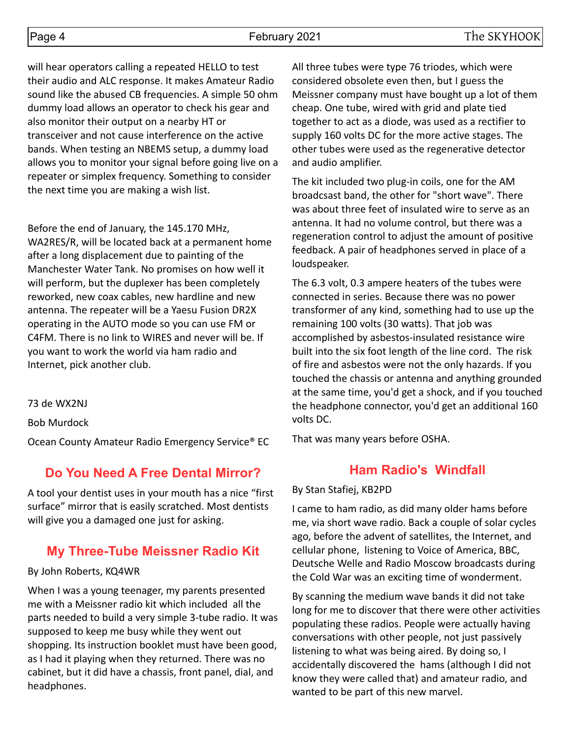will hear operators calling a repeated HELLO to test their audio and ALC response. It makes Amateur Radio sound like the abused CB frequencies. A simple 50 ohm dummy load allows an operator to check his gear and also monitor their output on a nearby HT or transceiver and not cause interference on the active bands. When testing an NBEMS setup, a dummy load allows you to monitor your signal before going live on a repeater or simplex frequency. Something to consider the next time you are making a wish list.

Before the end of January, the 145.170 MHz, WA2RES/R, will be located back at a permanent home after a long displacement due to painting of the Manchester Water Tank. No promises on how well it will perform, but the duplexer has been completely reworked, new coax cables, new hardline and new antenna. The repeater will be a Yaesu Fusion DR2X operating in the AUTO mode so you can use FM or C4FM. There is no link to WIRES and never will be. If you want to work the world via ham radio and Internet, pick another club.

73 de WX2NJ

Bob Murdock

Ocean County Amateur Radio Emergency Service® EC

## **Do You Need A Free Dental Mirror?**

A tool your dentist uses in your mouth has a nice "first surface" mirror that is easily scratched. Most dentists will give you a damaged one just for asking.

## **My Three-Tube Meissner Radio Kit**

#### By John Roberts, KQ4WR

When I was a young teenager, my parents presented me with a Meissner radio kit which included all the parts needed to build a very simple 3-tube radio. It was supposed to keep me busy while they went out shopping. Its instruction booklet must have been good, as I had it playing when they returned. There was no cabinet, but it did have a chassis, front panel, dial, and headphones.

All three tubes were type 76 triodes, which were considered obsolete even then, but I guess the Meissner company must have bought up a lot of them cheap. One tube, wired with grid and plate tied together to act as a diode, was used as a rectifier to supply 160 volts DC for the more active stages. The other tubes were used as the regenerative detector and audio amplifier.

The kit included two plug-in coils, one for the AM broadcsast band, the other for "short wave". There was about three feet of insulated wire to serve as an antenna. It had no volume control, but there was a regeneration control to adjust the amount of positive feedback. A pair of headphones served in place of a loudspeaker.

The 6.3 volt, 0.3 ampere heaters of the tubes were connected in series. Because there was no power transformer of any kind, something had to use up the remaining 100 volts (30 watts). That job was accomplished by asbestos-insulated resistance wire built into the six foot length of the line cord. The risk of fire and asbestos were not the only hazards. If you touched the chassis or antenna and anything grounded at the same time, you'd get a shock, and if you touched the headphone connector, you'd get an additional 160 volts DC.

That was many years before OSHA.

## **Ham Radio's Windfall**

#### By Stan Stafiej, KB2PD

I came to ham radio, as did many older hams before me, via short wave radio. Back a couple of solar cycles ago, before the advent of satellites, the Internet, and cellular phone, listening to Voice of America, BBC, Deutsche Welle and Radio Moscow broadcasts during the Cold War was an exciting time of wonderment.

By scanning the medium wave bands it did not take long for me to discover that there were other activities populating these radios. People were actually having conversations with other people, not just passively listening to what was being aired. By doing so, I accidentally discovered the hams (although I did not know they were called that) and amateur radio, and wanted to be part of this new marvel.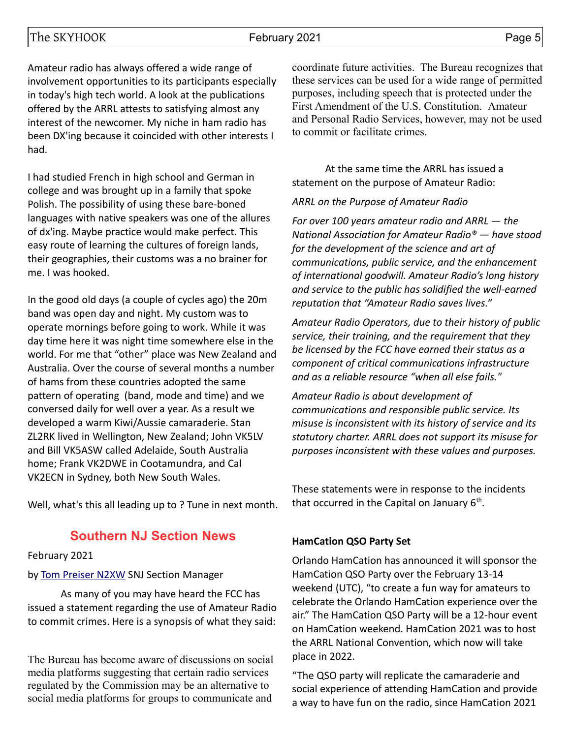### The SKYHOOK February 2021 February 2021

Amateur radio has always offered a wide range of involvement opportunities to its participants especially in today's high tech world. A look at the publications offered by the ARRL attests to satisfying almost any interest of the newcomer. My niche in ham radio has been DX'ing because it coincided with other interests I had.

I had studied French in high school and German in college and was brought up in a family that spoke Polish. The possibility of using these bare-boned languages with native speakers was one of the allures of dx'ing. Maybe practice would make perfect. This easy route of learning the cultures of foreign lands, their geographies, their customs was a no brainer for me. I was hooked.

In the good old days (a couple of cycles ago) the 20m band was open day and night. My custom was to operate mornings before going to work. While it was day time here it was night time somewhere else in the world. For me that "other" place was New Zealand and Australia. Over the course of several months a number of hams from these countries adopted the same pattern of operating (band, mode and time) and we conversed daily for well over a year. As a result we developed a warm Kiwi/Aussie camaraderie. Stan ZL2RK lived in Wellington, New Zealand; John VK5LV and Bill VK5ASW called Adelaide, South Australia home; Frank VK2DWE in Cootamundra, and Cal VK2ECN in Sydney, both New South Wales.

Well, what's this all leading up to ? Tune in next month.

## **Southern NJ Section News**

February 2021

#### by [Tom Preiser N2XW](mailto:n2xw@arrl.org) SNJ Section Manager

As many of you may have heard the FCC has issued a statement regarding the use of Amateur Radio to commit crimes. Here is a synopsis of what they said:

The Bureau has become aware of discussions on social media platforms suggesting that certain radio services regulated by the Commission may be an alternative to social media platforms for groups to communicate and

coordinate future activities. The Bureau recognizes that these services can be used for a wide range of permitted purposes, including speech that is protected under the First Amendment of the U.S. Constitution. Amateur and Personal Radio Services, however, may not be used to commit or facilitate crimes.

At the same time the ARRL has issued a statement on the purpose of Amateur Radio:

#### *ARRL on the Purpose of Amateur Radio*

*For over 100 years amateur radio and ARRL — the National Association for Amateur Radio® — have stood for the development of the science and art of communications, public service, and the enhancement of international goodwill. Amateur Radio's long history and service to the public has solidified the well-earned reputation that "Amateur Radio saves lives."*

*Amateur Radio Operators, due to their history of public service, their training, and the requirement that they be licensed by the FCC have earned their status as a component of critical communications infrastructure and as a reliable resource "when all else fails."*

*Amateur Radio is about development of communications and responsible public service. Its misuse is inconsistent with its history of service and its statutory charter. ARRL does not support its misuse for purposes inconsistent with these values and purposes.*

These statements were in response to the incidents that occurred in the Capital on January  $6<sup>th</sup>$ .

#### **HamCation QSO Party Set**

Orlando HamCation has announced it will sponsor the HamCation QSO Party over the February 13-14 weekend (UTC), "to create a fun way for amateurs to celebrate the Orlando HamCation experience over the air." The HamCation QSO Party will be a 12-hour event on HamCation weekend. HamCation 2021 was to host the ARRL National Convention, which now will take place in 2022.

"The QSO party will replicate the camaraderie and social experience of attending HamCation and provide a way to have fun on the radio, since HamCation 2021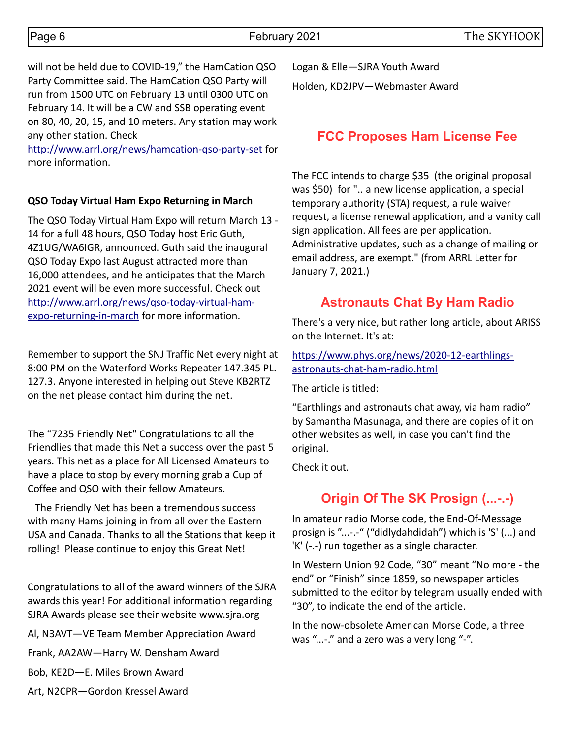will not be held due to COVID-19," the HamCation QSO Party Committee said. The HamCation QSO Party will run from 1500 UTC on February 13 until 0300 UTC on February 14. It will be a CW and SSB operating event on 80, 40, 20, 15, and 10 meters. Any station may work any other station. Check

<http://www.arrl.org/news/hamcation-qso-party-set>for more information.

### **QSO Today Virtual Ham Expo Returning in March**

The QSO Today Virtual Ham Expo will return March 13 - 14 for a full 48 hours, QSO Today host Eric Guth, 4Z1UG/WA6IGR, announced. Guth said the inaugural QSO Today Expo last August attracted more than 16,000 attendees, and he anticipates that the March 2021 event will be even more successful. Check out [http://www.arrl.org/news/qso-today-virtual-ham](http://www.arrl.org/news/qso-today-virtual-ham-expo-returning-in-march)[expo-returning-in-march](http://www.arrl.org/news/qso-today-virtual-ham-expo-returning-in-march) for more information.

Remember to support the SNJ Traffic Net every night at 8:00 PM on the Waterford Works Repeater 147.345 PL. 127.3. Anyone interested in helping out Steve KB2RTZ on the net please contact him during the net.

The "7235 Friendly Net" Congratulations to all the Friendlies that made this Net a success over the past 5 years. This net as a place for All Licensed Amateurs to have a place to stop by every morning grab a Cup of Coffee and QSO with their fellow Amateurs.

 The Friendly Net has been a tremendous success with many Hams joining in from all over the Eastern USA and Canada. Thanks to all the Stations that keep it rolling! Please continue to enjoy this Great Net!

Congratulations to all of the award winners of the SJRA awards this year! For additional information regarding SJRA Awards please see their website www.sjra.org

Al, N3AVT—VE Team Member Appreciation Award Frank, AA2AW—Harry W. Densham Award

Bob, KE2D—E. Miles Brown Award

Art, N2CPR—Gordon Kressel Award

Logan & Elle—SJRA Youth Award Holden, KD2JPV—Webmaster Award

## **FCC Proposes Ham License Fee**

The FCC intends to charge \$35 (the original proposal was \$50) for ".. a new license application, a special temporary authority (STA) request, a rule waiver request, a license renewal application, and a vanity call sign application. All fees are per application. Administrative updates, such as a change of mailing or email address, are exempt." (from ARRL Letter for January 7, 2021.)

## **Astronauts Chat By Ham Radio**

There's a very nice, but rather long article, about ARISS on the Internet. It's at:

[https://www.phys.org/news/2020-12-earthlings](https://www.phys.org/news/2020-12-earthlings-astronauts%20chat%20ham%20radiio.html)[astronauts-chat-ham-radio.html](https://www.phys.org/news/2020-12-earthlings-astronauts%20chat%20ham%20radiio.html)

The article is titled:

"Earthlings and astronauts chat away, via ham radio" by Samantha Masunaga, and there are copies of it on other websites as well, in case you can't find the original.

Check it out.

# **Origin Of The SK Prosign (...-.-)**

In amateur radio Morse code, the End-Of-Message prosign is "...-.-" ("didlydahdidah") which is 'S' (...) and 'K' (-.-) run together as a single character.

In Western Union 92 Code, "30" meant "No more - the end" or "Finish" since 1859, so newspaper articles submitted to the editor by telegram usually ended with "30", to indicate the end of the article.

In the now-obsolete American Morse Code, a three was "...-." and a zero was a very long "-".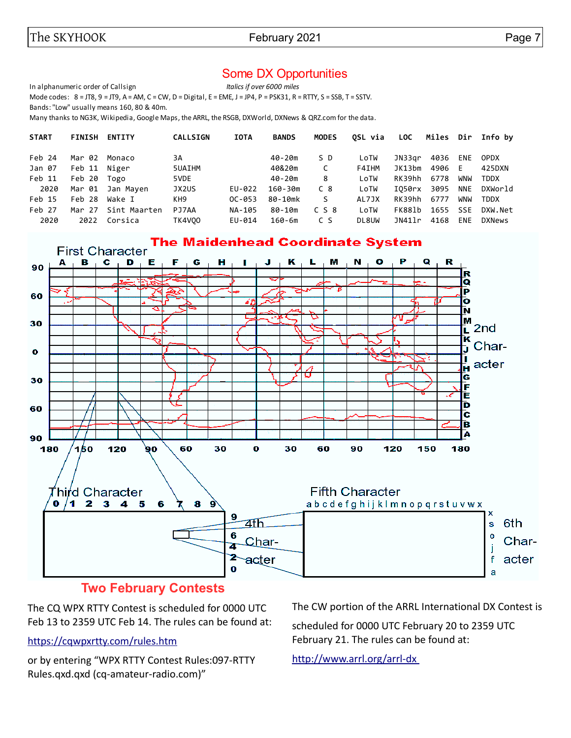## Some DX Opportunities

In alphanumeric order of Callsign *Italics if over 6000 miles*

Mode codes:  $8 = JTS$ ,  $9 = JTS$ ,  $A = AM$ ,  $C = CW$ ,  $D = Digital$ ,  $E = EME$ ,  $J = JP4$ ,  $P = PSK31$ ,  $R = RTTY$ ,  $S = SSB$ ,  $T = SSTV$ .

Bands: "Low" usually means 160, 80 & 40m.

Many thanks to NG3K, Wikipedia, Google Maps, the ARRL, the RSGB, DXWorld, DXNews & QRZ.com for the data.

| <b>START</b> | <b>FINISH</b> | <b>ENTITY</b> | <b>CALLSIGN</b> | <b>IOTA</b> | <b>BANDS</b> | <b>MODES</b> | OSL via | LOC    |          |            | Miles Dir Info by |
|--------------|---------------|---------------|-----------------|-------------|--------------|--------------|---------|--------|----------|------------|-------------------|
| Feb 24       | Mar 02        | Monaco        | 3A              |             | 40-20m       | S D          | LoTW    | JN33ar | 4036     | <b>ENE</b> | <b>OPDX</b>       |
| Jan 07       | Feb 11 Niger  |               | 5UAIHM          |             | 40&20m       | C            | F4IHM   | JK13bm | 4906     | F.         | 425DXN            |
| Feb 11       | Feb 20        | Togo          | 5VDE            |             | 40-20m       | 8            | LoTW    | RK39hh | 6778     | WNW        | <b>TDDX</b>       |
| 2020         | Mar 01        | Jan Mayen     | JX2US           | EU-022      | $160 - 30m$  | C 8          | LoTW    | I050rx | 3095     | <b>NNE</b> | DXWorld           |
| Feb 15       | Feb 28        | Wake I        | KH <sub>9</sub> | $OC - 053$  | 80-10mk      | S.           | AL7JX   | RK39hh | 6777     | WNW        | TDDX              |
| Feb 27       | Mar 27        | Sint Maarten  | PJ7AA           | NA-105      | 80-10m       | $C$ S $8$    | LoTW    | FK881b | 1655 SSE |            | DXW.Net           |
| 2020         | 2022          | Corsica       | <b>TK4V00</b>   | EU-014      | $160 - 6m$   | C S          | DL8UW   | JN411r | 4168     | <b>ENE</b> | <b>DXNews</b>     |



## **Two February Contests**

The CQ WPX RTTY Contest is scheduled for 0000 UTC Feb 13 to 2359 UTC Feb 14. The rules can be found at:

#### <https://cqwpxrtty.com/rules.htm>

or by entering "WPX RTTY Contest Rules:097-RTTY Rules.qxd.qxd (cq-amateur-radio.com)"

The CW portion of the ARRL International DX Contest is

scheduled for 0000 UTC February 20 to 2359 UTC February 21. The rules can be found at:

<http://www.arrl.org/arrl-dx>